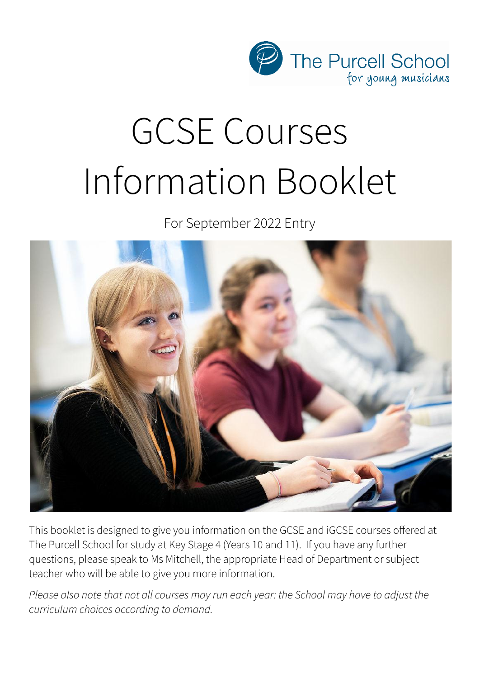

# GCSE Courses Information Booklet

For September 2022 Entry



This booklet is designed to give you information on the GCSE and iGCSE courses offered at The Purcell School for study at Key Stage 4 (Years 10 and 11). If you have any further questions, please speak to Ms Mitchell, the appropriate Head of Department or subject teacher who will be able to give you more information.

*Please also note that not all courses may run each year: the School may have to adjust the curriculum choices according to demand.*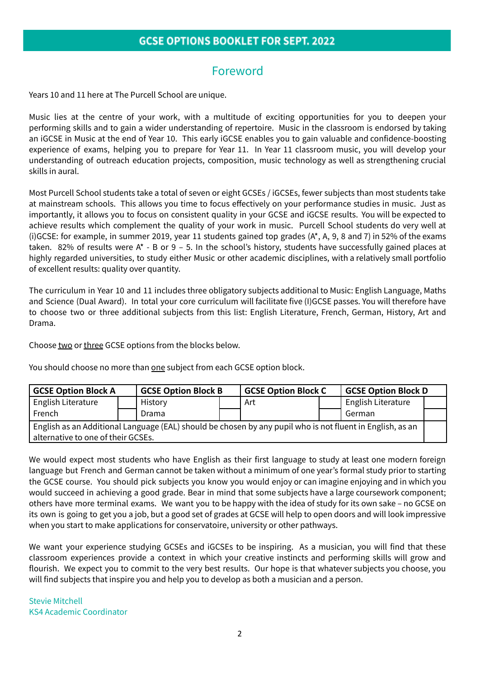# Foreword

Years 10 and 11 here at The Purcell School are unique.

Music lies at the centre of your work, with a multitude of exciting opportunities for you to deepen your performing skills and to gain a wider understanding of repertoire. Music in the classroom is endorsed by taking an iGCSE in Music at the end of Year 10. This early iGCSE enables you to gain valuable and confidence-boosting experience of exams, helping you to prepare for Year 11. In Year 11 classroom music, you will develop your understanding of outreach education projects, composition, music technology as well as strengthening crucial skills in aural.

Most Purcell School students take a total of seven or eight GCSEs / iGCSEs, fewer subjects than most students take at mainstream schools. This allows you time to focus effectively on your performance studies in music. Just as importantly, it allows you to focus on consistent quality in your GCSE and iGCSE results. You will be expected to achieve results which complement the quality of your work in music. Purcell School students do very well at (i)GCSE: for example, in summer 2019, year 11 students gained top grades (A\*, A, 9, 8 and 7) in 52% of the exams taken. 82% of results were  $A^*$  - B or 9 – 5. In the school's history, students have successfully gained places at highly regarded universities, to study either Music or other academic disciplines, with a relatively small portfolio of excellent results: quality over quantity.

The curriculum in Year 10 and 11 includes three obligatory subjects additional to Music: English Language, Maths and Science (Dual Award). In total your core curriculum will facilitate five (I)GCSE passes. You will therefore have to choose two or three additional subjects from this list: English Literature, French, German, History, Art and Drama.

Choose two or three GCSE options from the blocks below.

You should choose no more than one subject from each GCSE option block.

| <b>GCSE Option Block A</b>                                                                                |  | <b>GCSE Option Block B</b> |  | <b>GCSE Option Block C</b> |  | GCSE Option Block D |  |
|-----------------------------------------------------------------------------------------------------------|--|----------------------------|--|----------------------------|--|---------------------|--|
| English Literature                                                                                        |  | History                    |  | Art                        |  | English Literature  |  |
| French                                                                                                    |  | Drama                      |  |                            |  | German              |  |
| English as an Additional Language (EAL) should be chosen by any pupil who is not fluent in English, as an |  |                            |  |                            |  |                     |  |
| alternative to one of their GCSEs.                                                                        |  |                            |  |                            |  |                     |  |

We would expect most students who have English as their first language to study at least one modern foreign language but French and German cannot be taken without a minimum of one year's formal study prior to starting the GCSE course. You should pick subjects you know you would enjoy or can imagine enjoying and in which you would succeed in achieving a good grade. Bear in mind that some subjects have a large coursework component; others have more terminal exams. We want you to be happy with the idea of study for its own sake – no GCSE on its own is going to get you a job, but a good set of grades at GCSE will help to open doors and will look impressive when you start to make applications for conservatoire, university or other pathways.

We want your experience studying GCSEs and iGCSEs to be inspiring. As a musician, you will find that these classroom experiences provide a context in which your creative instincts and performing skills will grow and flourish. We expect you to commit to the very best results. Our hope is that whatever subjects you choose, you will find subjects that inspire you and help you to develop as both a musician and a person.

Stevie Mitchell KS4 Academic Coordinator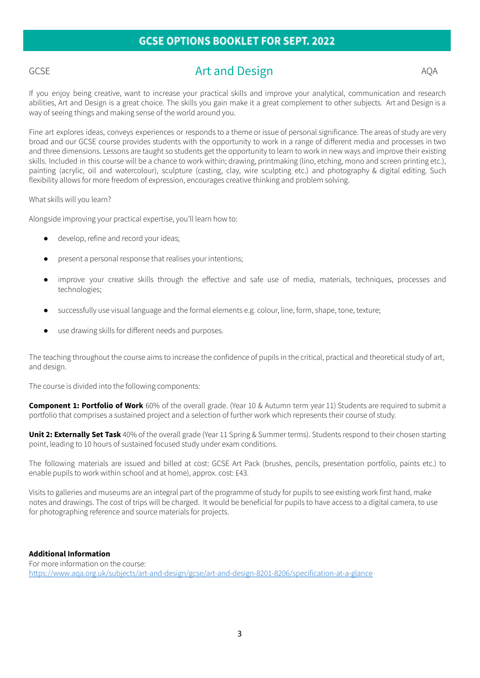# GCSE Art and Design AQA

If you enjoy being creative, want to increase your practical skills and improve your analytical, communication and research abilities, Art and Design is a great choice. The skills you gain make it a great complement to other subjects. Art and Design is a way of seeing things and making sense of the world around you.

Fine art explores ideas, conveys experiences or responds to a theme or issue of personal significance. The areas of study are very broad and our GCSE course provides students with the opportunity to work in a range of different media and processes in two and three dimensions. Lessons are taught so students get the opportunity to learn to work in new ways and improve their existing skills. Included in this course will be a chance to work within; drawing, printmaking (lino, etching, mono and screen printing etc.), painting (acrylic, oil and watercolour), sculpture (casting, clay, wire sculpting etc.) and photography & digital editing. Such flexibility allows for more freedom of expression, encourages creative thinking and problem solving.

What skills will you learn?

Alongside improving your practical expertise, you'll learn how to:

- develop, refine and record your ideas;
- present a personal response that realises your intentions;
- improve your creative skills through the effective and safe use of media, materials, techniques, processes and technologies;
- successfully use visual language and the formal elements e.g. colour, line, form, shape, tone, texture;
- use drawing skills for different needs and purposes.

The teaching throughout the course aims to increase the confidence of pupils in the critical, practical and theoretical study of art, and design.

The course is divided into the following components:

**Component 1: Portfolio of Work** 60% of the overall grade. (Year 10 & Autumn term year 11) Students are required to submit a portfolio that comprises a sustained project and a selection of further work which represents their course of study.

**Unit 2: Externally Set Task** 40% of the overall grade (Year 11 Spring & Summer terms). Students respond to their chosen starting point, leading to 10 hours of sustained focused study under exam conditions.

The following materials are issued and billed at cost: GCSE Art Pack (brushes, pencils, presentation portfolio, paints etc.) to enable pupils to work within school and at home), approx. cost: £43.

Visits to galleries and museums are an integral part of the programme of study for pupils to see existing work first hand, make notes and drawings. The cost of trips will be charged. It would be beneficial for pupils to have access to a digital camera, to use for photographing reference and source materials for projects.

#### **Additional Information**

For more information on the course: <https://www.aqa.org.uk/subjects/art-and-design/gcse/art-and-design-8201-8206/specification-at-a-glance>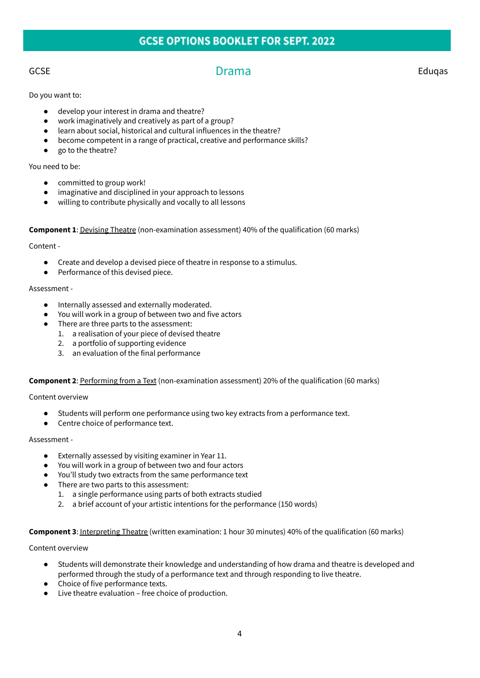GCSE Eduqas Controllerium Drama Drama Eduqas Eduqas Eduqas Controllerium Eduqas Controllerium Eduqas Controlleri

Do you want to:

- develop your interest in drama and theatre?
- work imaginatively and creatively as part of a group?
- learn about social, historical and cultural influences in the theatre?
- become competent in a range of practical, creative and performance skills?
- go to the theatre?

# You need to be:

- committed to group work!
- imaginative and disciplined in your approach to lessons
- willing to contribute physically and vocally to all lessons

### **Component 1**: Devising Theatre (non-examination assessment) 40% of the qualification (60 marks)

### Content -

- Create and develop a devised piece of theatre in response to a stimulus.
- Performance of this devised piece.

### Assessment -

- Internally assessed and externally moderated.
- You will work in a group of between two and five actors
- There are three parts to the assessment:
	- 1. a realisation of your piece of devised theatre
	- 2. a portfolio of supporting evidence
	- 3. an evaluation of the final performance

### **Component 2**: Performing from a Text (non-examination assessment) 20% of the qualification (60 marks)

Content overview

- Students will perform one performance using two key extracts from a performance text.
- Centre choice of performance text.

# Assessment -

- Externally assessed by visiting examiner in Year 11.
- You will work in a group of between two and four actors
- You'll study two extracts from the same performance text
- There are two parts to this assessment:
	- 1. a single performance using parts of both extracts studied
	- 2. a brief account of your artistic intentions for the performance (150 words)

### **Component 3**: Interpreting Theatre (written examination: 1 hour 30 minutes) 40% of the qualification (60 marks)

### Content overview

- Students will demonstrate their knowledge and understanding of how drama and theatre is developed and performed through the study of a performance text and through responding to live theatre.
- Choice of five performance texts.
- Live theatre evaluation free choice of production.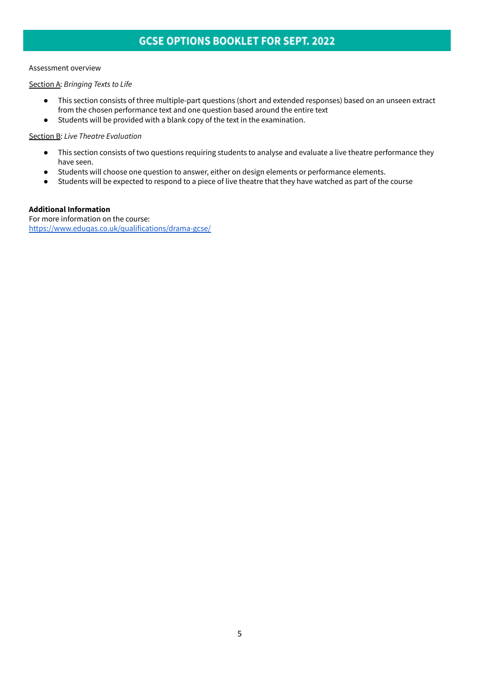### Assessment overview

Section A: *Bringing Texts to Life*

- This section consists of three multiple-part questions (short and extended responses) based on an unseen extract from the chosen performance text and one question based around the entire text
- Students will be provided with a blank copy of the text in the examination.

# Section B: *Live Theatre Evaluation*

- This section consists of two questions requiring students to analyse and evaluate a live theatre performance they have seen.
- Students will choose one question to answer, either on design elements or performance elements.
- Students will be expected to respond to a piece of live theatre that they have watched as part of the course

# **Additional Information**

For more information on the course: <https://www.eduqas.co.uk/qualifications/drama-gcse/>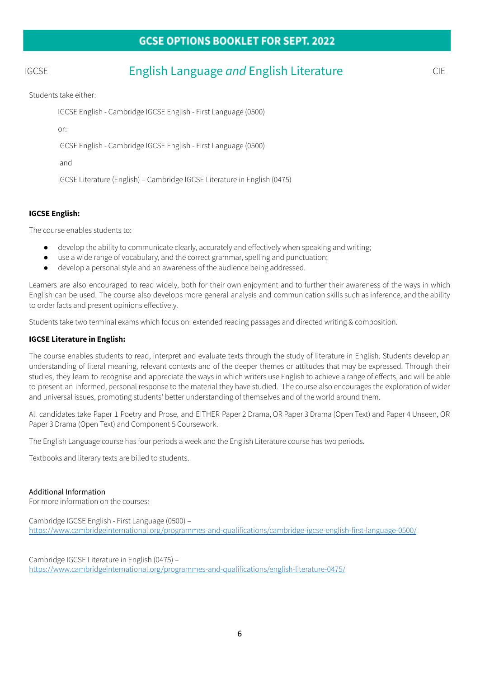# IGCSE English Language *and* English Literature CIE

Students take either:

IGCSE English - Cambridge IGCSE English - First Language (0500)

or:

IGCSE English - Cambridge IGCSE English - First Language (0500)

and

IGCSE Literature (English) – Cambridge IGCSE Literature in English (0475)

# **IGCSE English:**

The course enables students to:

- develop the ability to communicate clearly, accurately and effectively when speaking and writing;
- use a wide range of vocabulary, and the correct grammar, spelling and punctuation;
- develop a personal style and an awareness of the audience being addressed.

Learners are also encouraged to read widely, both for their own enjoyment and to further their awareness of the ways in which English can be used. The course also develops more general analysis and communication skills such as inference, and the ability to order facts and present opinions effectively.

Students take two terminal exams which focus on: extended reading passages and directed writing & composition.

# **IGCSE Literature in English:**

The course enables students to read, interpret and evaluate texts through the study of literature in English. Students develop an understanding of literal meaning, relevant contexts and of the deeper themes or attitudes that may be expressed. Through their studies, they learn to recognise and appreciate the ways in which writers use English to achieve a range of effects, and will be able to present an informed, personal response to the material they have studied. The course also encourages the exploration of wider and universal issues, promoting students' better understanding of themselves and of the world around them.

All candidates take Paper 1 Poetry and Prose, and EITHER Paper 2 Drama, OR Paper 3 Drama (Open Text) and Paper 4 Unseen, OR Paper 3 Drama (Open Text) and Component 5 Coursework.

The English Language course has four periods a week and the English Literature course has two periods.

Textbooks and literary texts are billed to students.

# Additional Information

For more information on the courses:

Cambridge IGCSE English - First Language (0500) – <https://www.cambridgeinternational.org/programmes-and-qualifications/cambridge-igcse-english-first-language-0500/>

Cambridge IGCSE Literature in English (0475) – <https://www.cambridgeinternational.org/programmes-and-qualifications/english-literature-0475/>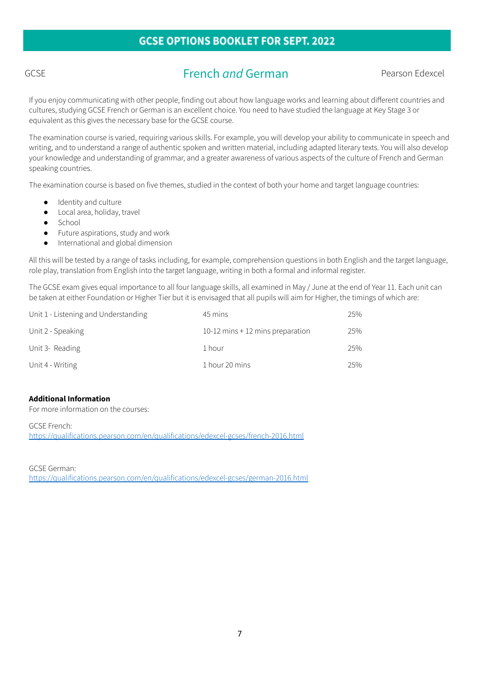# GCSE **French** *and* German **Pearson Edexcel**

If you enjoy communicating with other people, finding out about how language works and learning about different countries and cultures, studying GCSE French or German is an excellent choice. You need to have studied the language at Key Stage 3 or equivalent as this gives the necessary base for the GCSE course.

The examination course is varied, requiring various skills. For example, you will develop your ability to communicate in speech and writing, and to understand a range of authentic spoken and written material, including adapted literary texts. You will also develop your knowledge and understanding of grammar, and a greater awareness of various aspects of the culture of French and German speaking countries.

The examination course is based on five themes, studied in the context of both your home and target language countries:

- Identity and culture
- Local area, holiday, travel
- School
- Future aspirations, study and work
- International and global dimension

All this will be tested by a range of tasks including, for example, comprehension questions in both English and the target language, role play, translation from English into the target language, writing in both a formal and informal register.

The GCSE exam gives equal importance to all four language skills, all examined in May / June at the end of Year 11. Each unit can be taken at either Foundation or Higher Tier but it is envisaged that all pupils will aim for Higher, the timings of which are:

| Unit 1 - Listening and Understanding | 45 mins                            | 25% |
|--------------------------------------|------------------------------------|-----|
| Unit 2 - Speaking                    | 10-12 mins $+$ 12 mins preparation | 25% |
| Unit 3- Reading                      | 1 hour                             | 25% |
| Unit 4 - Writing                     | 1 hour 20 mins                     | 25% |

# **Additional Information**

For more information on the courses:

GCSE French: <https://qualifications.pearson.com/en/qualifications/edexcel-gcses/french-2016.html>

GCSE German: <https://qualifications.pearson.com/en/qualifications/edexcel-gcses/german-2016.html>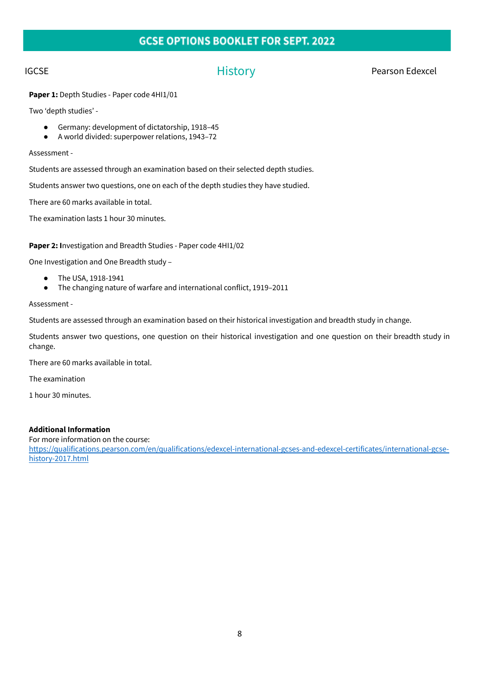IGCSE External of the History Contract of History Pearson Edexcel

**Paper 1:** Depth Studies - Paper code 4HI1/01

Two 'depth studies' -

- Germany: development of dictatorship, 1918–45
- A world divided: superpower relations, 1943–72

Assessment -

Students are assessed through an examination based on their selected depth studies.

Students answer two questions, one on each of the depth studies they have studied.

There are 60 marks available in total.

The examination lasts 1 hour 30 minutes.

**Paper 2: I**nvestigation and Breadth Studies - Paper code 4HI1/02

One Investigation and One Breadth study –

- The USA, 1918-1941
- The changing nature of warfare and international conflict, 1919–2011

Assessment -

Students are assessed through an examination based on their historical investigation and breadth study in change.

Students answer two questions, one question on their historical investigation and one question on their breadth study in change.

There are 60 marks available in total.

The examination

1 hour 30 minutes.

# **Additional Information**

For more information on the course: [https://qualifications.pearson.com/en/qualifications/edexcel-international-gcses-and-edexcel-certificates/international-gcse](https://qualifications.pearson.com/en/qualifications/edexcel-international-gcses-and-edexcel-certificates/international-gcse-history-2017.html)[history-2017.html](https://qualifications.pearson.com/en/qualifications/edexcel-international-gcses-and-edexcel-certificates/international-gcse-history-2017.html)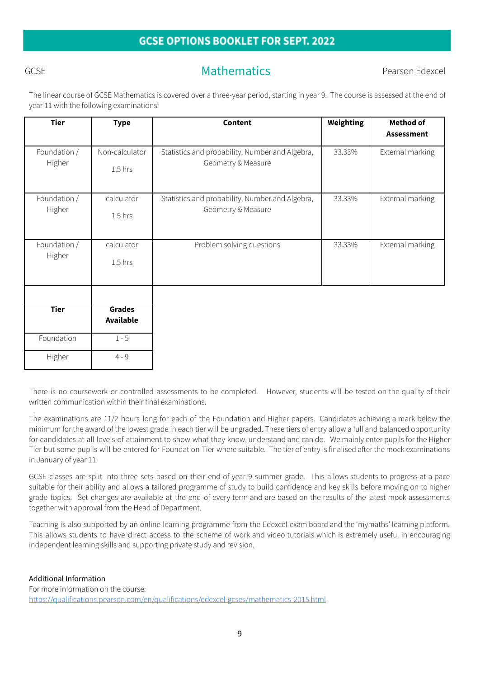# GCSE GEST CONTROLLER Mathematics Rearson Edexcel

The linear course of GCSE Mathematics is covered over a three-year period, starting in year 9. The course is assessed at the end of year 11 with the following examinations:

| <b>Tier</b>            | <b>Type</b>                       | <b>Content</b>                                                        | <b>Weighting</b> | <b>Method of</b><br><b>Assessment</b> |
|------------------------|-----------------------------------|-----------------------------------------------------------------------|------------------|---------------------------------------|
| Foundation /<br>Higher | Non-calculator<br>$1.5$ hrs       | Statistics and probability, Number and Algebra,<br>Geometry & Measure | 33.33%           | External marking                      |
| Foundation /<br>Higher | calculator<br>$1.5$ hrs           | Statistics and probability, Number and Algebra,<br>Geometry & Measure | 33.33%           | External marking                      |
| Foundation /<br>Higher | calculator<br>$1.5$ hrs           | Problem solving questions                                             | 33.33%           | External marking                      |
| <b>Tier</b>            | <b>Grades</b><br><b>Available</b> |                                                                       |                  |                                       |
| Foundation             | $1 - 5$                           |                                                                       |                  |                                       |
| Higher                 | $4 - 9$                           |                                                                       |                  |                                       |

There is no coursework or controlled assessments to be completed. However, students will be tested on the quality of their written communication within their final examinations.

The examinations are 11/2 hours long for each of the Foundation and Higher papers. Candidates achieving a mark below the minimum for the award of the lowest grade in each tier will be ungraded. These tiers of entry allow a full and balanced opportunity for candidates at all levels of attainment to show what they know, understand and can do. We mainly enter pupils for the Higher Tier but some pupils will be entered for Foundation Tier where suitable. The tier of entry is finalised after the mock examinations in January of year 11.

GCSE classes are split into three sets based on their end-of-year 9 summer grade. This allows students to progress at a pace suitable for their ability and allows a tailored programme of study to build confidence and key skills before moving on to higher grade topics. Set changes are available at the end of every term and are based on the results of the latest mock assessments together with approval from the Head of Department.

Teaching is also supported by an online learning programme from the Edexcel exam board and the 'mymaths' learning platform. This allows students to have direct access to the scheme of work and video tutorials which is extremely useful in encouraging independent learning skills and supporting private study and revision.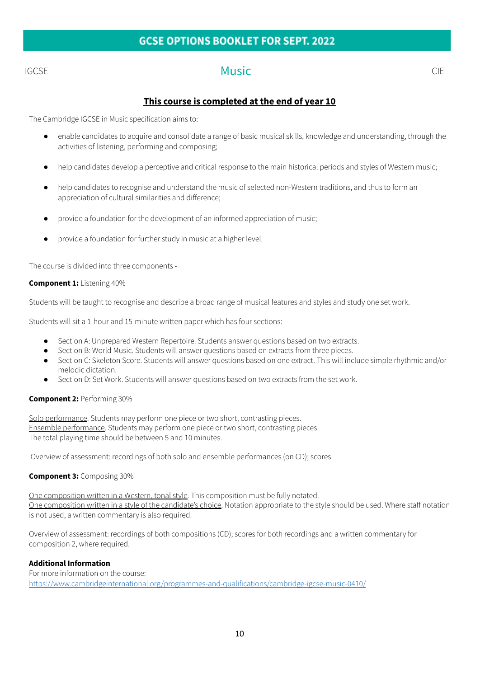# IGCSE CIE CHE Music CHE CIE

# **This course is completed at the end of year 10**

The Cambridge IGCSE in Music specification aims to:

- enable candidates to acquire and consolidate a range of basic musical skills, knowledge and understanding, through the activities of listening, performing and composing;
- help candidates develop a perceptive and critical response to the main historical periods and styles of Western music;
- help candidates to recognise and understand the music of selected non-Western traditions, and thus to form an appreciation of cultural similarities and difference;
- provide a foundation for the development of an informed appreciation of music;
- provide a foundation for further study in music at a higher level.

The course is divided into three components -

### **Component 1:** Listening 40%

Students will be taught to recognise and describe a broad range of musical features and styles and study one set work.

Students will sit a 1-hour and 15-minute written paper which has four sections:

- Section A: Unprepared Western Repertoire. Students answer questions based on two extracts.
- Section B: World Music. Students will answer questions based on extracts from three pieces.
- Section C: Skeleton Score. Students will answer questions based on one extract. This will include simple rhythmic and/or melodic dictation.
- Section D: Set Work. Students will answer questions based on two extracts from the set work.

### **Component 2:** Performing 30%

Solo performance. Students may perform one piece or two short, contrasting pieces. Ensemble performance. Students may perform one piece or two short, contrasting pieces. The total playing time should be between 5 and 10 minutes.

Overview of assessment: recordings of both solo and ensemble performances (on CD); scores.

### **Component 3:** Composing 30%

One composition written in a Western, tonal style. This composition must be fully notated. One composition written in a style of the candidate's choice. Notation appropriate to the style should be used. Where staff notation is not used, a written commentary is also required.

Overview of assessment: recordings of both compositions (CD); scores for both recordings and a written commentary for composition 2, where required.

### **Additional Information**

For more information on the course: <https://www.cambridgeinternational.org/programmes-and-qualifications/cambridge-igcse-music-0410/>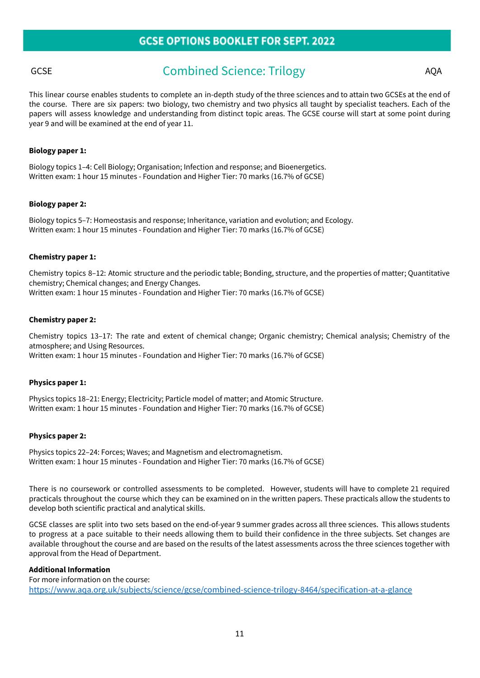# GCSE Combined Science: Trilogy AQA

This linear course enables students to complete an in-depth study of the three sciences and to attain two GCSEs at the end of the course. There are six papers: two biology, two chemistry and two physics all taught by specialist teachers. Each of the papers will assess knowledge and understanding from distinct topic areas. The GCSE course will start at some point during year 9 and will be examined at the end of year 11.

#### **Biology paper 1:**

Biology topics 1–4: Cell Biology; Organisation; Infection and response; and Bioenergetics. Written exam: 1 hour 15 minutes - Foundation and Higher Tier: 70 marks (16.7% of GCSE)

#### **Biology paper 2:**

Biology topics 5–7: Homeostasis and response; Inheritance, variation and evolution; and Ecology. Written exam: 1 hour 15 minutes - Foundation and Higher Tier: 70 marks (16.7% of GCSE)

#### **Chemistry paper 1:**

Chemistry topics 8–12: Atomic structure and the periodic table; Bonding, structure, and the properties of matter; Quantitative chemistry; Chemical changes; and Energy Changes. Written exam: 1 hour 15 minutes - Foundation and Higher Tier: 70 marks (16.7% of GCSE)

#### **Chemistry paper 2:**

Chemistry topics 13–17: The rate and extent of chemical change; Organic chemistry; Chemical analysis; Chemistry of the atmosphere; and Using Resources.

Written exam: 1 hour 15 minutes - Foundation and Higher Tier: 70 marks (16.7% of GCSE)

#### **Physics paper 1:**

Physics topics 18–21: Energy; Electricity; Particle model of matter; and Atomic Structure. Written exam: 1 hour 15 minutes - Foundation and Higher Tier: 70 marks (16.7% of GCSE)

#### **Physics paper 2:**

Physics topics 22–24: Forces; Waves; and Magnetism and electromagnetism. Written exam: 1 hour 15 minutes - Foundation and Higher Tier: 70 marks (16.7% of GCSE)

There is no coursework or controlled assessments to be completed. However, students will have to complete 21 required practicals throughout the course which they can be examined on in the written papers. These practicals allow the students to develop both scientific practical and analytical skills.

GCSE classes are split into two sets based on the end-of-year 9 summer grades across all three sciences. This allows students to progress at a pace suitable to their needs allowing them to build their confidence in the three subjects. Set changes are available throughout the course and are based on the results of the latest assessments across the three sciences together with approval from the Head of Department.

#### **Additional Information**

For more information on the course: <https://www.aqa.org.uk/subjects/science/gcse/combined-science-trilogy-8464/specification-at-a-glance>